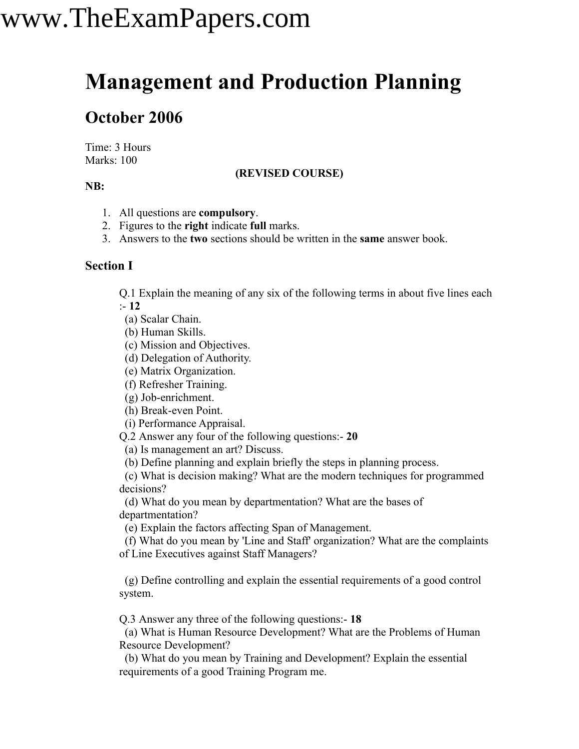# www.TheExamPapers.com

### **Management and Production Planning**

### **October 2006**

Time: 3 Hours Marks: 100

### **(REVISED COURSE)**

### **NB:**

- 1. All questions are **compulsory**.
- 2. Figures to the **right** indicate **full** marks.
- 3. Answers to the **two** sections should be written in the **same** answer book.

### **Section I**

Q.1 Explain the meaning of any six of the following terms in about five lines each :- **12**

(a) Scalar Chain.

- (b) Human Skills.
- (c) Mission and Objectives.
- (d) Delegation of Authority.
- (e) Matrix Organization.
- (f) Refresher Training.
- (g) Job-enrichment.
- (h) Break-even Point.
- (i) Performance Appraisal.

Q.2 Answer any four of the following questions:- **20**

(a) Is management an art? Discuss.

(b) Define planning and explain briefly the steps in planning process.

(c) What is decision making? What are the modern techniques for programmed decisions?

(d) What do you mean by departmentation? What are the bases of departmentation?

(e) Explain the factors affecting Span of Management.

(f) What do you mean by 'Line and Staff' organization? What are the complaints of Line Executives against Staff Managers?

(g) Define controlling and explain the essential requirements of a good control system.

Q.3 Answer any three of the following questions:- **18**

(a) What is Human Resource Development? What are the Problems of Human Resource Development?

(b) What do you mean by Training and Development? Explain the essential requirements of a good Training Program me.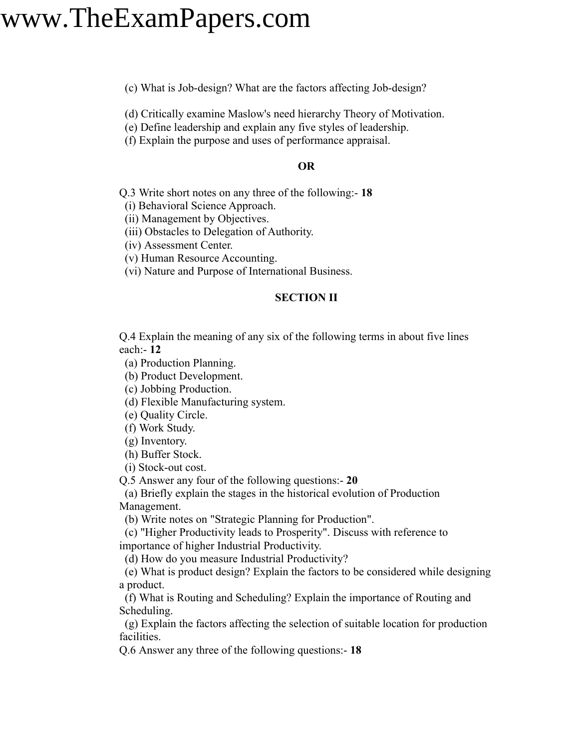### www.TheExamPapers.com

(c) What is Job-design? What are the factors affecting Job-design?

(d) Critically examine Maslow's need hierarchy Theory of Motivation.

(e) Define leadership and explain any five styles of leadership.

(f) Explain the purpose and uses of performance appraisal.

#### **OR**

Q.3 Write short notes on any three of the following:- **18**

(i) Behavioral Science Approach.

(ii) Management by Objectives.

(iii) Obstacles to Delegation of Authority.

(iv) Assessment Center.

(v) Human Resource Accounting.

(vi) Nature and Purpose of International Business.

#### **SECTION II**

Q.4 Explain the meaning of any six of the following terms in about five lines each:- **12**

(a) Production Planning.

(b) Product Development.

(c) Jobbing Production.

(d) Flexible Manufacturing system.

(e) Quality Circle.

(f) Work Study.

(g) Inventory.

(h) Buffer Stock.

(i) Stock-out cost.

Q.5 Answer any four of the following questions:- **20**

(a) Briefly explain the stages in the historical evolution of Production Management.

(b) Write notes on "Strategic Planning for Production".

(c) "Higher Productivity leads to Prosperity". Discuss with reference to importance of higher Industrial Productivity.

(d) How do you measure Industrial Productivity?

(e) What is product design? Explain the factors to be considered while designing a product.

(f) What is Routing and Scheduling? Explain the importance of Routing and Scheduling.

(g) Explain the factors affecting the selection of suitable location for production facilities.

Q.6 Answer any three of the following questions:- **18**